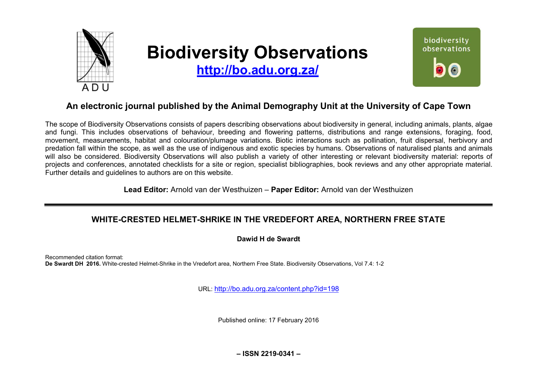

# **Biodiversity Observations**

**<http://bo.adu.org.za/>**



# **An electronic journal published by the Animal Demography Unit at the University of Cape Town**

The scope of Biodiversity Observations consists of papers describing observations about biodiversity in general, including animals, plants, algae and fungi. This includes observations of behaviour, breeding and flowering patterns, distributions and range extensions, foraging, food, movement, measurements, habitat and colouration/plumage variations. Biotic interactions such as pollination, fruit dispersal, herbivory and predation fall within the scope, as well as the use of indigenous and exotic species by humans. Observations of naturalised plants and animals will also be considered. Biodiversity Observations will also publish a variety of other interesting or relevant biodiversity material: reports of projects and conferences, annotated checklists for a site or region, specialist bibliographies, book reviews and any other appropriate material. Further details and guidelines to authors are on this website.

**Lead Editor:** Arnold van der Westhuizen – **Paper Editor:** Arnold van der Westhuizen

## **WHITE-CRESTED HELMET-SHRIKE IN THE VREDEFORT AREA, NORTHERN FREE STATE**

#### **Dawid H de Swardt**

Recommended citation format: **De Swardt DH 2016.** White-crested Helmet-Shrike in the Vredefort area, Northern Free State. Biodiversity Observations, Vol 7.4: 1-2

URL: <http://bo.adu.org.za/content.php?id=198>

Published online: 17 February 2016

**– ISSN 2219-0341 –**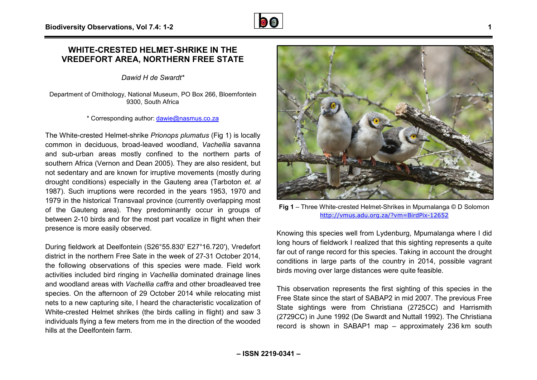## **WHITE-CRESTED HELMET-SHRIKE IN THE VREDEFORT AREA, NORTHERN FREE STATE SHRIKE HERN**

*Dawid H de Swardt\**

Department of Ornithology, National Museum, PO Box 266, Bloemfontein 9300, South Africa

\* Corresponding author: [dawie@nasmus.co.za](mailto:dawie@nasmus.co.za)

The White-crested Helmet-shrike *Prionops plumatus* (Fig 1) is locally common in deciduous, broad-leaved woodland, *Vachellia* savanna and sub-urban areas mostly confined to the northern parts of southern Africa (Vernon and Dean 2005). They are also resident, but not sedentary and are known for irruptive movements (mostly during drought conditions) especially in the Gauteng area (Tarboton *et. al* 1987). Such irruptions were recorded in the years 1953, 1970 and 1979 in the historical Transvaal province (currently overlapping most of the Gauteng area). They predominantly occur in groups of between 2-10 birds and for the most part vocalize in flight when their presence is more easily observed. between 2-10 birds and for the most part vocalize in flight when their<br>presence is more easily observed.<br>During fieldwork at Deelfontein (S26°55.830' E27°16.720'), Vredefort

district in the northern Free Sate in the week of 27-31 October 2014, district in the northern Free Sate in the week of 27-31 October 2014,<br>the following observations of this species were made. Field work activities included bird ringing in *Vachellia* dominated drainage lines and woodland areas with *Vachellia caffra* and other broadleaved tree species. On the afternoon of 29 October 2014 while relocating mist nets to a new capturing site, I heard the characteristic vocalization of White-crested Helmet shrikes (the birds calling in flight) and saw 3 individuals flying a few meters from me in the direction of the wooded hills at the Deelfontein farm. Gauteng area). They predominantly occur in groups of<br>
In 2-10 birds and for the most part vocalize in flight when their<br>
in the crested Helmet-Shrikes in Mpumalanga<br>
fieldwork at Deelfontein (S26°55.830' E27°16.720'), Vred



<http://vmus.adu.org.za/?vm=BirdPix> http://vmus.adu.org.za/?vm=BirdPix-12652

Knowing this species well from Lydenburg, Mpumalanga where I did long hours of fieldwork I realized that this sighting represents a quite far out of range record for this species. Taking in account the drought conditions in large parts of the country in 2014 2014, possible vagrant birds moving over large distances were quite feasible feasible.

This observation represents the first sighting of this species in the Free State since the start of SABAP2 in mid 2007. The previous Free State sightings were from Christiana (2725CC) and Harrismith (2729CC) in June 1992 (De Swardt and Nuttall 1992). The Christiana record is shown in SABAP1 map – approximately 236 km south